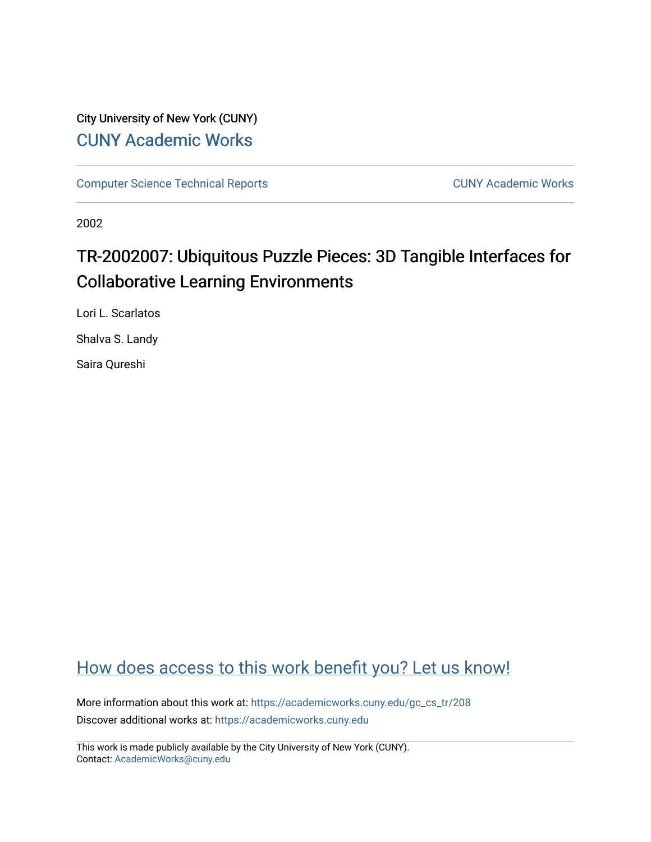# City University of New York (CUNY) [CUNY Academic Works](https://academicworks.cuny.edu/)

[Computer Science Technical Reports](https://academicworks.cuny.edu/gc_cs_tr) **CUNY Academic Works** CUNY Academic Works

2002

# TR-2002007: Ubiquitous Puzzle Pieces: 3D Tangible Interfaces for Collaborative Learning Environments

Lori L. Scarlatos

Shalva S. Landy

Saira Qureshi

# [How does access to this work benefit you? Let us know!](http://ols.cuny.edu/academicworks/?ref=https://academicworks.cuny.edu/gc_cs_tr/208)

More information about this work at: [https://academicworks.cuny.edu/gc\\_cs\\_tr/208](https://academicworks.cuny.edu/gc_cs_tr/208)  Discover additional works at: [https://academicworks.cuny.edu](https://academicworks.cuny.edu/?)

This work is made publicly available by the City University of New York (CUNY). Contact: [AcademicWorks@cuny.edu](mailto:AcademicWorks@cuny.edu)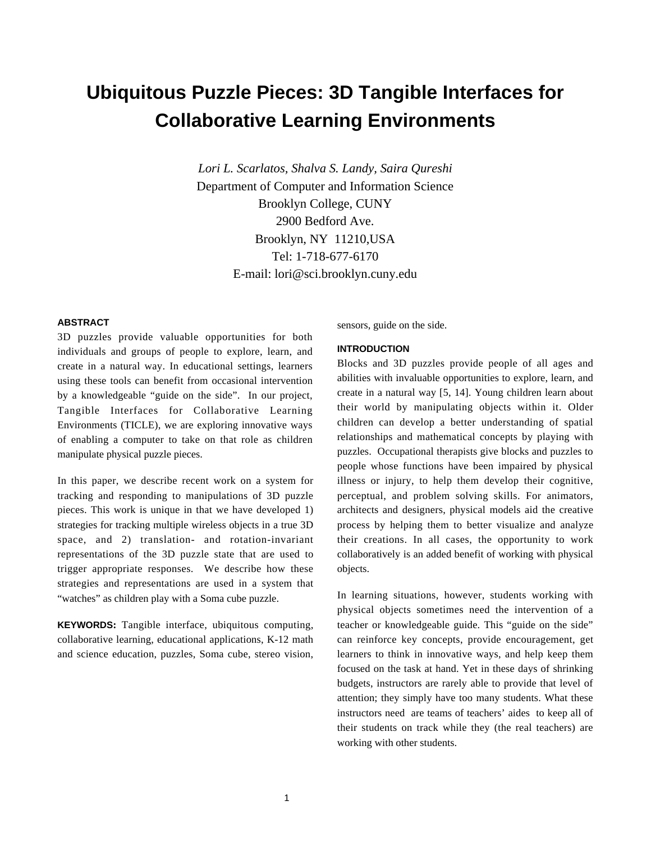# **Ubiquitous Puzzle Pieces: 3D Tangible Interfaces for Collaborative Learning Environments**

*Lori L. Scarlatos, Shalva S. Landy, Saira Qureshi* Department of Computer and Information Science Brooklyn College, CUNY 2900 Bedford Ave. Brooklyn, NY 11210,USA Tel: 1-718-677-6170 E-mail: lori@sci.brooklyn.cuny.edu

#### **ABSTRACT**

3D puzzles provide valuable opportunities for both individuals and groups of people to explore, learn, and create in a natural way. In educational settings, learners using these tools can benefit from occasional intervention by a knowledgeable "guide on the side". In our project, Tangible Interfaces for Collaborative Learning Environments (TICLE), we are exploring innovative ways of enabling a computer to take on that role as children manipulate physical puzzle pieces.

In this paper, we describe recent work on a system for tracking and responding to manipulations of 3D puzzle pieces. This work is unique in that we have developed 1) strategies for tracking multiple wireless objects in a true 3D space, and 2) translation- and rotation-invariant representations of the 3D puzzle state that are used to trigger appropriate responses. We describe how these strategies and representations are used in a system that "watches" as children play with a Soma cube puzzle.

**KEYWORDS:** Tangible interface, ubiquitous computing, collaborative learning, educational applications, K-12 math and science education, puzzles, Soma cube, stereo vision, sensors, guide on the side.

#### **INTRODUCTION**

Blocks and 3D puzzles provide people of all ages and abilities with invaluable opportunities to explore, learn, and create in a natural way [5, 14]. Young children learn about their world by manipulating objects within it. Older children can develop a better understanding of spatial relationships and mathematical concepts by playing with puzzles. Occupational therapists give blocks and puzzles to people whose functions have been impaired by physical illness or injury, to help them develop their cognitive, perceptual, and problem solving skills. For animators, architects and designers, physical models aid the creative process by helping them to better visualize and analyze their creations. In all cases, the opportunity to work collaboratively is an added benefit of working with physical objects.

In learning situations, however, students working with physical objects sometimes need the intervention of a teacher or knowledgeable guide. This "guide on the side" can reinforce key concepts, provide encouragement, get learners to think in innovative ways, and help keep them focused on the task at hand. Yet in these days of shrinking budgets, instructors are rarely able to provide that level of attention; they simply have too many students. What these instructors need are teams of teachers' aides to keep all of their students on track while they (the real teachers) are working with other students.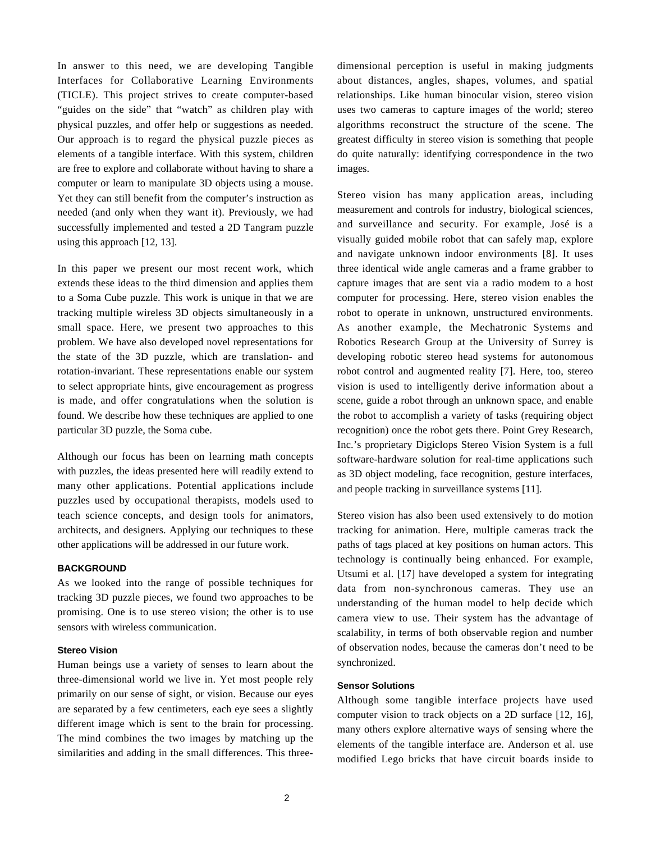In answer to this need, we are developing Tangible Interfaces for Collaborative Learning Environments (TICLE). This project strives to create computer-based "guides on the side" that "watch" as children play with physical puzzles, and offer help or suggestions as needed. Our approach is to regard the physical puzzle pieces as elements of a tangible interface. With this system, children are free to explore and collaborate without having to share a computer or learn to manipulate 3D objects using a mouse. Yet they can still benefit from the computer's instruction as needed (and only when they want it). Previously, we had successfully implemented and tested a 2D Tangram puzzle using this approach [12, 13].

In this paper we present our most recent work, which extends these ideas to the third dimension and applies them to a Soma Cube puzzle. This work is unique in that we are tracking multiple wireless 3D objects simultaneously in a small space. Here, we present two approaches to this problem. We have also developed novel representations for the state of the 3D puzzle, which are translation- and rotation-invariant. These representations enable our system to select appropriate hints, give encouragement as progress is made, and offer congratulations when the solution is found. We describe how these techniques are applied to one particular 3D puzzle, the Soma cube.

Although our focus has been on learning math concepts with puzzles, the ideas presented here will readily extend to many other applications. Potential applications include puzzles used by occupational therapists, models used to teach science concepts, and design tools for animators, architects, and designers. Applying our techniques to these other applications will be addressed in our future work.

# **BACKGROUND**

As we looked into the range of possible techniques for tracking 3D puzzle pieces, we found two approaches to be promising. One is to use stereo vision; the other is to use sensors with wireless communication.

# **Stereo Vision**

Human beings use a variety of senses to learn about the three-dimensional world we live in. Yet most people rely primarily on our sense of sight, or vision. Because our eyes are separated by a few centimeters, each eye sees a slightly different image which is sent to the brain for processing. The mind combines the two images by matching up the similarities and adding in the small differences. This threedimensional perception is useful in making judgments about distances, angles, shapes, volumes, and spatial relationships. Like human binocular vision, stereo vision uses two cameras to capture images of the world; stereo algorithms reconstruct the structure of the scene. The greatest difficulty in stereo vision is something that people do quite naturally: identifying correspondence in the two images.

Stereo vision has many application areas, including measurement and controls for industry, biological sciences, and surveillance and security. For example, José is a visually guided mobile robot that can safely map, explore and navigate unknown indoor environments [8]. It uses three identical wide angle cameras and a frame grabber to capture images that are sent via a radio modem to a host computer for processing. Here, stereo vision enables the robot to operate in unknown, unstructured environments. As another example, the Mechatronic Systems and Robotics Research Group at the University of Surrey is developing robotic stereo head systems for autonomous robot control and augmented reality [7]. Here, too, stereo vision is used to intelligently derive information about a scene, guide a robot through an unknown space, and enable the robot to accomplish a variety of tasks (requiring object recognition) once the robot gets there. Point Grey Research, Inc.'s proprietary Digiclops Stereo Vision System is a full software-hardware solution for real-time applications such as 3D object modeling, face recognition, gesture interfaces, and people tracking in surveillance systems [11].

Stereo vision has also been used extensively to do motion tracking for animation. Here, multiple cameras track the paths of tags placed at key positions on human actors. This technology is continually being enhanced. For example, Utsumi et al. [17] have developed a system for integrating data from non-synchronous cameras. They use an understanding of the human model to help decide which camera view to use. Their system has the advantage of scalability, in terms of both observable region and number of observation nodes, because the cameras don't need to be synchronized.

# **Sensor Solutions**

Although some tangible interface projects have used computer vision to track objects on a 2D surface [12, 16], many others explore alternative ways of sensing where the elements of the tangible interface are. Anderson et al. use modified Lego bricks that have circuit boards inside to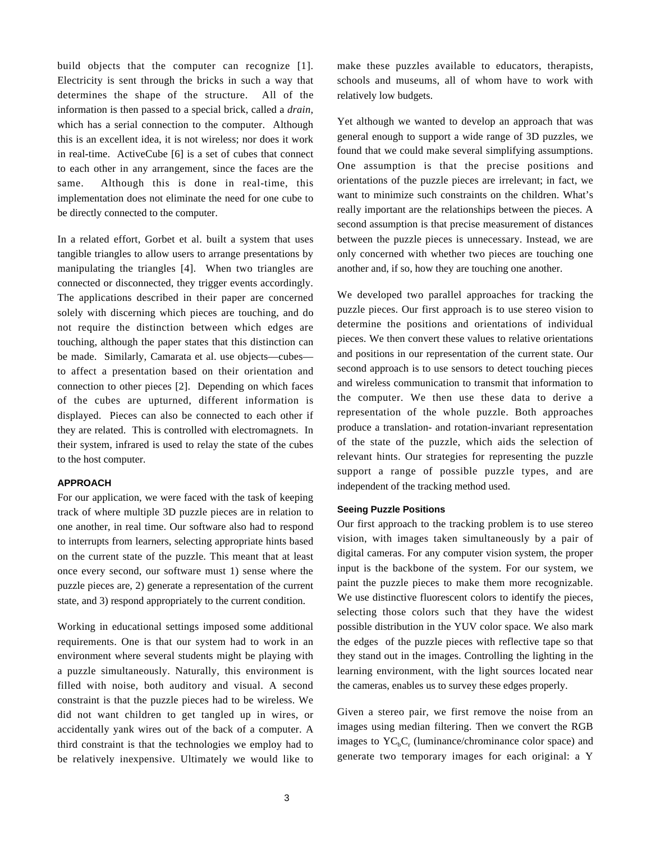build objects that the computer can recognize [1]. Electricity is sent through the bricks in such a way that determines the shape of the structure. All of the information is then passed to a special brick, called a *drain,* which has a serial connection to the computer. Although this is an excellent idea, it is not wireless; nor does it work in real-time. ActiveCube [6] is a set of cubes that connect to each other in any arrangement, since the faces are the same. Although this is done in real-time, this implementation does not eliminate the need for one cube to be directly connected to the computer.

In a related effort, Gorbet et al. built a system that uses tangible triangles to allow users to arrange presentations by manipulating the triangles [4]. When two triangles are connected or disconnected, they trigger events accordingly. The applications described in their paper are concerned solely with discerning which pieces are touching, and do not require the distinction between which edges are touching, although the paper states that this distinction can be made. Similarly, Camarata et al. use objects—cubes to affect a presentation based on their orientation and connection to other pieces [2]. Depending on which faces of the cubes are upturned, different information is displayed. Pieces can also be connected to each other if they are related. This is controlled with electromagnets. In their system, infrared is used to relay the state of the cubes to the host computer.

#### **APPROACH**

For our application, we were faced with the task of keeping track of where multiple 3D puzzle pieces are in relation to one another, in real time. Our software also had to respond to interrupts from learners, selecting appropriate hints based on the current state of the puzzle. This meant that at least once every second, our software must 1) sense where the puzzle pieces are, 2) generate a representation of the current state, and 3) respond appropriately to the current condition.

Working in educational settings imposed some additional requirements. One is that our system had to work in an environment where several students might be playing with a puzzle simultaneously. Naturally, this environment is filled with noise, both auditory and visual. A second constraint is that the puzzle pieces had to be wireless. We did not want children to get tangled up in wires, or accidentally yank wires out of the back of a computer. A third constraint is that the technologies we employ had to be relatively inexpensive. Ultimately we would like to make these puzzles available to educators, therapists, schools and museums, all of whom have to work with relatively low budgets.

Yet although we wanted to develop an approach that was general enough to support a wide range of 3D puzzles, we found that we could make several simplifying assumptions. One assumption is that the precise positions and orientations of the puzzle pieces are irrelevant; in fact, we want to minimize such constraints on the children. What's really important are the relationships between the pieces. A second assumption is that precise measurement of distances between the puzzle pieces is unnecessary. Instead, we are only concerned with whether two pieces are touching one another and, if so, how they are touching one another.

We developed two parallel approaches for tracking the puzzle pieces. Our first approach is to use stereo vision to determine the positions and orientations of individual pieces. We then convert these values to relative orientations and positions in our representation of the current state. Our second approach is to use sensors to detect touching pieces and wireless communication to transmit that information to the computer. We then use these data to derive a representation of the whole puzzle. Both approaches produce a translation- and rotation-invariant representation of the state of the puzzle, which aids the selection of relevant hints. Our strategies for representing the puzzle support a range of possible puzzle types, and are independent of the tracking method used.

# **Seeing Puzzle Positions**

Our first approach to the tracking problem is to use stereo vision, with images taken simultaneously by a pair of digital cameras. For any computer vision system, the proper input is the backbone of the system. For our system, we paint the puzzle pieces to make them more recognizable. We use distinctive fluorescent colors to identify the pieces, selecting those colors such that they have the widest possible distribution in the YUV color space. We also mark the edges of the puzzle pieces with reflective tape so that they stand out in the images. Controlling the lighting in the learning environment, with the light sources located near the cameras, enables us to survey these edges properly.

Given a stereo pair, we first remove the noise from an images using median filtering. Then we convert the RGB images to  $YC<sub>b</sub>C<sub>r</sub>$  (luminance/chrominance color space) and generate two temporary images for each original: a Y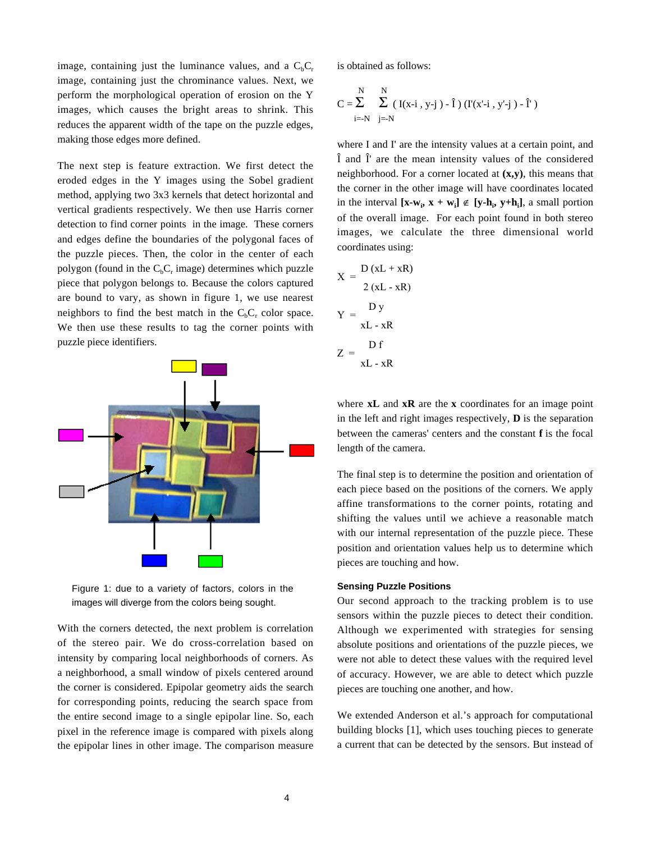image, containing just the luminance values, and a  $C_bC_r$ image, containing just the chrominance values. Next, we perform the morphological operation of erosion on the Y images, which causes the bright areas to shrink. This reduces the apparent width of the tape on the puzzle edges, making those edges more defined.

The next step is feature extraction. We first detect the eroded edges in the Y images using the Sobel gradient method, applying two 3x3 kernels that detect horizontal and vertical gradients respectively. We then use Harris corner detection to find corner points in the image. These corners and edges define the boundaries of the polygonal faces of the puzzle pieces. Then, the color in the center of each polygon (found in the  $C_bC_r$  image) determines which puzzle piece that polygon belongs to. Because the colors captured are bound to vary, as shown in figure 1, we use nearest neighbors to find the best match in the  $C_bC_r$  color space. We then use these results to tag the corner points with puzzle piece identifiers.



Figure 1: due to a variety of factors, colors in the images will diverge from the colors being sought.

With the corners detected, the next problem is correlation of the stereo pair. We do cross-correlation based on intensity by comparing local neighborhoods of corners. As a neighborhood, a small window of pixels centered around the corner is considered. Epipolar geometry aids the search for corresponding points, reducing the search space from the entire second image to a single epipolar line. So, each pixel in the reference image is compared with pixels along the epipolar lines in other image. The comparison measure is obtained as follows:

$$
C = \sum_{i=-N}^{N} \sum_{j=-N}^{N} (I(x-i, y-j) - \hat{I}) (I'(x'-i, y'-j) - \hat{I}')
$$

where I and I' are the intensity values at a certain point, and Î and Î' are the mean intensity values of the considered neighborhood. For a corner located at **(x,y)**, this means that the corner in the other image will have coordinates located in the interval  $[\mathbf{x}-\mathbf{w}_i, \mathbf{x}+\mathbf{w}_i] \notin [\mathbf{y}-\mathbf{h}_i, \mathbf{y}+\mathbf{h}_i]$ , a small portion of the overall image. For each point found in both stereo images, we calculate the three dimensional world coordinates using:

$$
X = \frac{D(xL + xR)}{2(xL - xR)}
$$

$$
Y = \frac{Dy}{xL - xR}
$$

$$
Z = \frac{Df}{xL - xR}
$$

where **xL** and **xR** are the **x** coordinates for an image point in the left and right images respectively, **D** is the separation between the cameras' centers and the constant **f** is the focal length of the camera.

The final step is to determine the position and orientation of each piece based on the positions of the corners. We apply affine transformations to the corner points, rotating and shifting the values until we achieve a reasonable match with our internal representation of the puzzle piece. These position and orientation values help us to determine which pieces are touching and how.

### **Sensing Puzzle Positions**

Our second approach to the tracking problem is to use sensors within the puzzle pieces to detect their condition. Although we experimented with strategies for sensing absolute positions and orientations of the puzzle pieces, we were not able to detect these values with the required level of accuracy. However, we are able to detect which puzzle pieces are touching one another, and how.

We extended Anderson et al.'s approach for computational building blocks [1], which uses touching pieces to generate a current that can be detected by the sensors. But instead of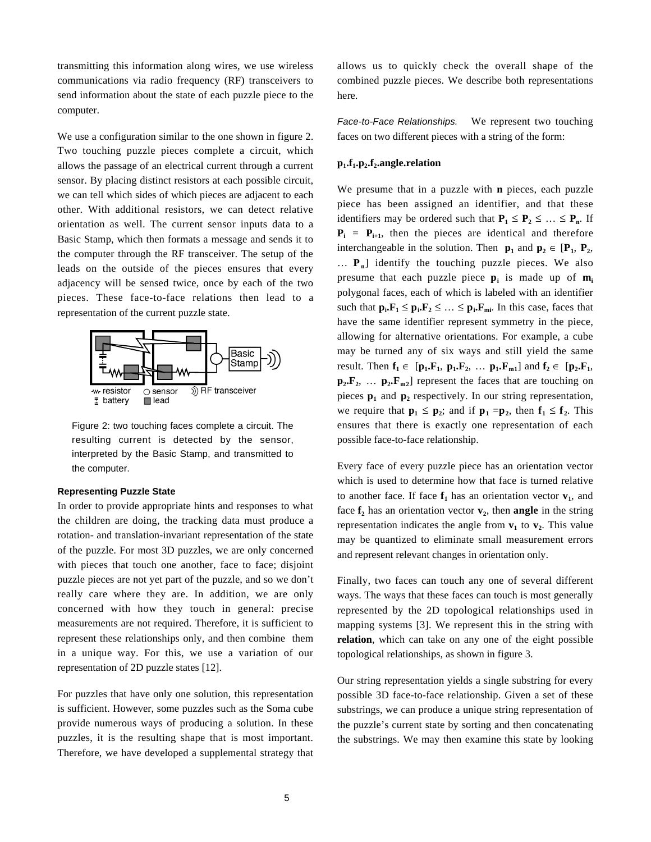transmitting this information along wires, we use wireless communications via radio frequency (RF) transceivers to send information about the state of each puzzle piece to the computer.

We use a configuration similar to the one shown in figure 2. Two touching puzzle pieces complete a circuit, which allows the passage of an electrical current through a current sensor. By placing distinct resistors at each possible circuit, we can tell which sides of which pieces are adjacent to each other. With additional resistors, we can detect relative orientation as well. The current sensor inputs data to a Basic Stamp, which then formats a message and sends it to the computer through the RF transceiver. The setup of the leads on the outside of the pieces ensures that every adjacency will be sensed twice, once by each of the two pieces. These face-to-face relations then lead to a representation of the current puzzle state.



Figure 2: two touching faces complete a circuit. The resulting current is detected by the sensor, interpreted by the Basic Stamp, and transmitted to the computer.

# **Representing Puzzle State**

In order to provide appropriate hints and responses to what the children are doing, the tracking data must produce a rotation- and translation-invariant representation of the state of the puzzle. For most 3D puzzles, we are only concerned with pieces that touch one another, face to face; disjoint puzzle pieces are not yet part of the puzzle, and so we don't really care where they are. In addition, we are only concerned with how they touch in general: precise measurements are not required. Therefore, it is sufficient to represent these relationships only, and then combine them in a unique way. For this, we use a variation of our representation of 2D puzzle states [12].

For puzzles that have only one solution, this representation is sufficient. However, some puzzles such as the Soma cube provide numerous ways of producing a solution. In these puzzles, it is the resulting shape that is most important. Therefore, we have developed a supplemental strategy that

allows us to quickly check the overall shape of the combined puzzle pieces. We describe both representations here.

*Face-to-Face Relationships.* We represent two touching faces on two different pieces with a string of the form:

# **p1.f1.p2.f2.angle.relation**

We presume that in a puzzle with **n** pieces, each puzzle piece has been assigned an identifier, and that these identifiers may be ordered such that  $P_1 \leq P_2 \leq ... \leq P_n$ . If  $P_i = P_{i+1}$ , then the pieces are identical and therefore interchangeable in the solution. Then  $\mathbf{p}_1$  and  $\mathbf{p}_2 \in [\mathbf{P}_1, \mathbf{P}_2, \mathbf{P}_3]$ … **Pn**] identify the touching puzzle pieces. We also presume that each puzzle piece **p**<sub>i</sub> is made up of **m**<sub>i</sub> polygonal faces, each of which is labeled with an identifier such that  $\mathbf{p}_i \cdot \mathbf{F}_1 \leq \mathbf{p}_i \cdot \mathbf{F}_2 \leq \ldots \leq \mathbf{p}_i \cdot \mathbf{F}_{mi}$ . In this case, faces that have the same identifier represent symmetry in the piece, allowing for alternative orientations. For example, a cube may be turned any of six ways and still yield the same result. Then  $f_1 \in [\mathbf{p}_1 \cdot \mathbf{F}_1, \ \mathbf{p}_1 \cdot \mathbf{F}_2, \ \dots \ \mathbf{p}_1 \cdot \mathbf{F}_{m1}]$  and  $f_2 \in [\mathbf{p}_2 \cdot \mathbf{F}_1,$  $\mathbf{p}_2 \cdot \mathbf{F}_2$ , ...  $\mathbf{p}_2 \cdot \mathbf{F}_{m2}$  represent the faces that are touching on pieces  $p_1$  and  $p_2$  respectively. In our string representation, we require that  $\mathbf{p}_1 \leq \mathbf{p}_2$ ; and if  $\mathbf{p}_1 = \mathbf{p}_2$ , then  $\mathbf{f}_1 \leq \mathbf{f}_2$ . This ensures that there is exactly one representation of each possible face-to-face relationship.

Every face of every puzzle piece has an orientation vector which is used to determine how that face is turned relative to another face. If face  $f_1$  has an orientation vector  $v_1$ , and face  $f_2$  has an orientation vector  $v_2$ , then **angle** in the string representation indicates the angle from  $v_1$  to  $v_2$ . This value may be quantized to eliminate small measurement errors and represent relevant changes in orientation only.

Finally, two faces can touch any one of several different ways. The ways that these faces can touch is most generally represented by the 2D topological relationships used in mapping systems [3]. We represent this in the string with **relation**, which can take on any one of the eight possible topological relationships, as shown in figure 3.

Our string representation yields a single substring for every possible 3D face-to-face relationship. Given a set of these substrings, we can produce a unique string representation of the puzzle's current state by sorting and then concatenating the substrings. We may then examine this state by looking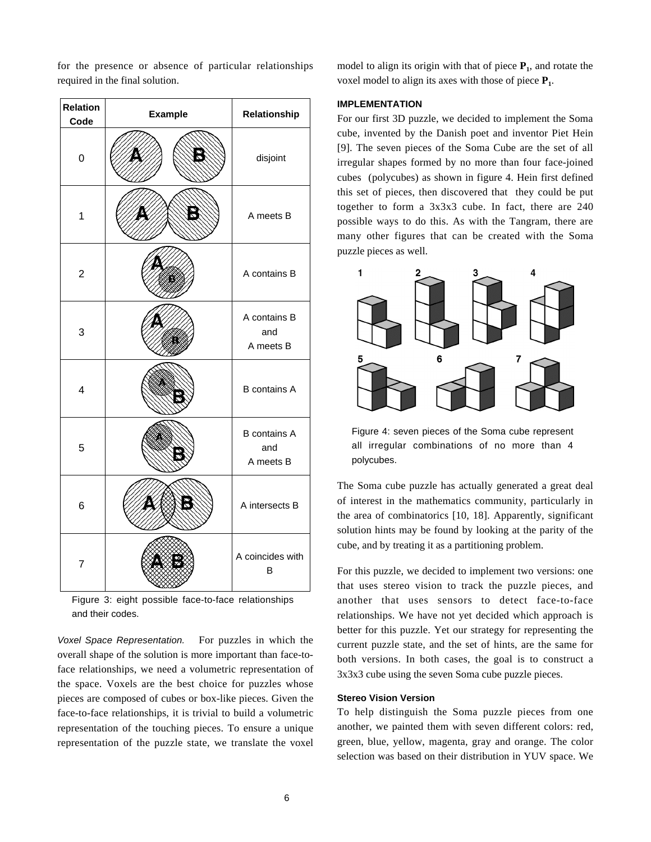**Relation Code Example** Relationship  $\frac{1}{2}$  disjoint 1 | WAXAANDANY | A meets B 2  $\sqrt{2}$  A contains B 3 A contains B and A meets B 4 | NEWSAW | B contains A 5 B contains A and A meets B 6 | **WAXABINY** A intersects B 7 A coincides with B

for the presence or absence of particular relationships

required in the final solution.

Figure 3: eight possible face-to-face relationships and their codes.

*Voxel Space Representation.* For puzzles in which the overall shape of the solution is more important than face-toface relationships, we need a volumetric representation of the space. Voxels are the best choice for puzzles whose pieces are composed of cubes or box-like pieces. Given the face-to-face relationships, it is trivial to build a volumetric representation of the touching pieces. To ensure a unique representation of the puzzle state, we translate the voxel

model to align its origin with that of piece  $P_1$ , and rotate the voxel model to align its axes with those of piece  $P_1$ .

### **IMPLEMENTATION**

For our first 3D puzzle, we decided to implement the Soma cube, invented by the Danish poet and inventor Piet Hein [9]. The seven pieces of the Soma Cube are the set of all irregular shapes formed by no more than four face-joined cubes (polycubes) as shown in figure 4. Hein first defined this set of pieces, then discovered that they could be put together to form a 3x3x3 cube. In fact, there are 240 possible ways to do this. As with the Tangram, there are many other figures that can be created with the Soma puzzle pieces as well.



Figure 4: seven pieces of the Soma cube represent all irregular combinations of no more than 4 polycubes.

The Soma cube puzzle has actually generated a great deal of interest in the mathematics community, particularly in the area of combinatorics [10, 18]. Apparently, significant solution hints may be found by looking at the parity of the cube, and by treating it as a partitioning problem.

For this puzzle, we decided to implement two versions: one that uses stereo vision to track the puzzle pieces, and another that uses sensors to detect face-to-face relationships. We have not yet decided which approach is better for this puzzle. Yet our strategy for representing the current puzzle state, and the set of hints, are the same for both versions. In both cases, the goal is to construct a 3x3x3 cube using the seven Soma cube puzzle pieces.

#### **Stereo Vision Version**

To help distinguish the Soma puzzle pieces from one another, we painted them with seven different colors: red, green, blue, yellow, magenta, gray and orange. The color selection was based on their distribution in YUV space. We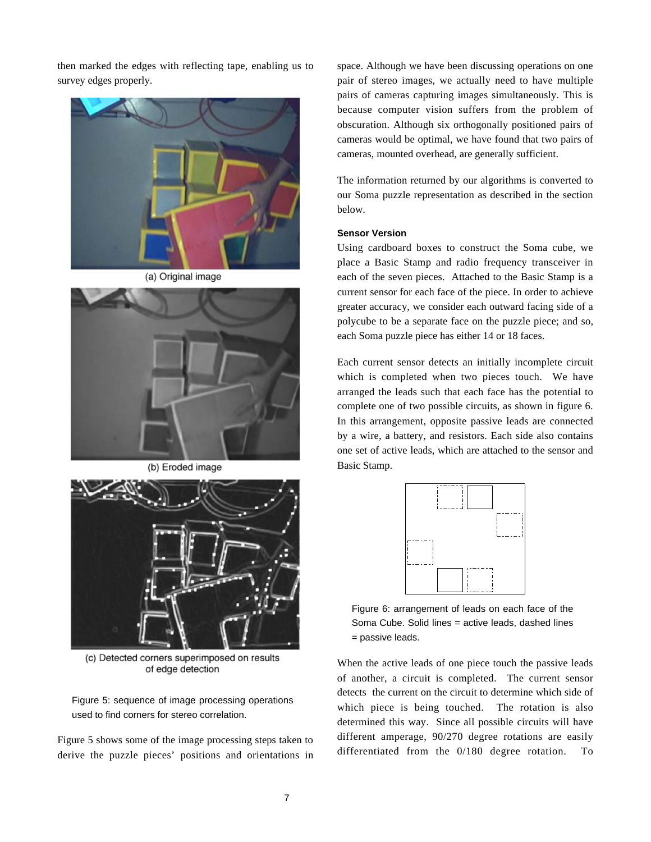then marked the edges with reflecting tape, enabling us to survey edges properly.



(a) Original image



(b) Eroded image



(c) Detected corners superimposed on results of edge detection

Figure 5: sequence of image processing operations used to find corners for stereo correlation.

Figure 5 shows some of the image processing steps taken to derive the puzzle pieces' positions and orientations in

space. Although we have been discussing operations on one pair of stereo images, we actually need to have multiple pairs of cameras capturing images simultaneously. This is because computer vision suffers from the problem of obscuration. Although six orthogonally positioned pairs of cameras would be optimal, we have found that two pairs of cameras, mounted overhead, are generally sufficient.

The information returned by our algorithms is converted to our Soma puzzle representation as described in the section below.

### **Sensor Version**

Using cardboard boxes to construct the Soma cube, we place a Basic Stamp and radio frequency transceiver in each of the seven pieces. Attached to the Basic Stamp is a current sensor for each face of the piece. In order to achieve greater accuracy, we consider each outward facing side of a polycube to be a separate face on the puzzle piece; and so, each Soma puzzle piece has either 14 or 18 faces.

Each current sensor detects an initially incomplete circuit which is completed when two pieces touch. We have arranged the leads such that each face has the potential to complete one of two possible circuits, as shown in figure 6. In this arrangement, opposite passive leads are connected by a wire, a battery, and resistors. Each side also contains one set of active leads, which are attached to the sensor and Basic Stamp.



Figure 6: arrangement of leads on each face of the Soma Cube. Solid lines = active leads, dashed lines = passive leads.

When the active leads of one piece touch the passive leads of another, a circuit is completed. The current sensor detects the current on the circuit to determine which side of which piece is being touched. The rotation is also determined this way. Since all possible circuits will have different amperage, 90/270 degree rotations are easily differentiated from the 0/180 degree rotation. To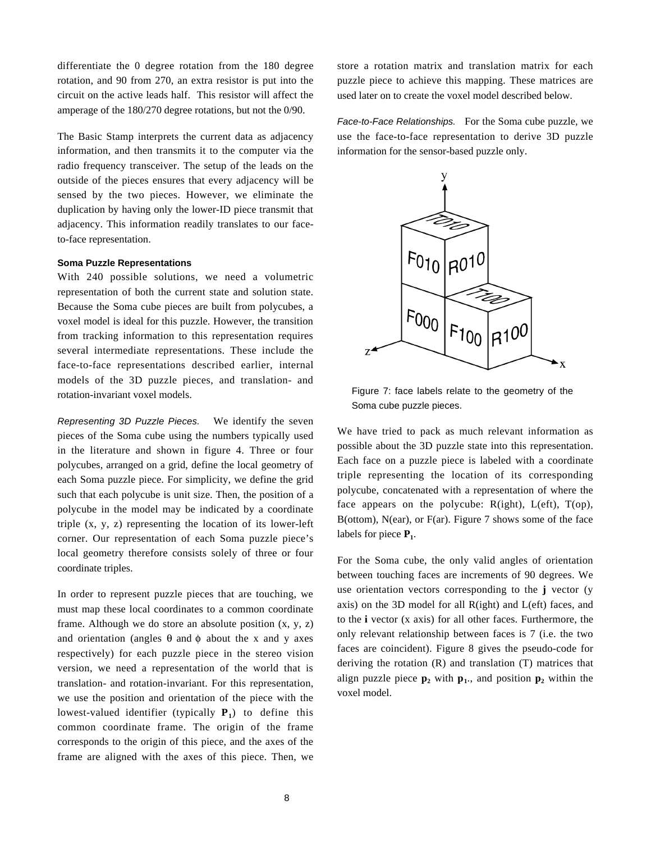differentiate the 0 degree rotation from the 180 degree rotation, and 90 from 270, an extra resistor is put into the circuit on the active leads half. This resistor will affect the amperage of the 180/270 degree rotations, but not the 0/90.

The Basic Stamp interprets the current data as adjacency information, and then transmits it to the computer via the radio frequency transceiver. The setup of the leads on the outside of the pieces ensures that every adjacency will be sensed by the two pieces. However, we eliminate the duplication by having only the lower-ID piece transmit that adjacency. This information readily translates to our faceto-face representation.

# **Soma Puzzle Representations**

With 240 possible solutions, we need a volumetric representation of both the current state and solution state. Because the Soma cube pieces are built from polycubes, a voxel model is ideal for this puzzle. However, the transition from tracking information to this representation requires several intermediate representations. These include the face-to-face representations described earlier, internal models of the 3D puzzle pieces, and translation- and rotation-invariant voxel models.

*Representing 3D Puzzle Pieces.* We identify the seven pieces of the Soma cube using the numbers typically used in the literature and shown in figure 4. Three or four polycubes, arranged on a grid, define the local geometry of each Soma puzzle piece. For simplicity, we define the grid such that each polycube is unit size. Then, the position of a polycube in the model may be indicated by a coordinate triple (x, y, z) representing the location of its lower-left corner. Our representation of each Soma puzzle piece's local geometry therefore consists solely of three or four coordinate triples.

In order to represent puzzle pieces that are touching, we must map these local coordinates to a common coordinate frame. Although we do store an absolute position  $(x, y, z)$ and orientation (angles  $\theta$  and  $\phi$  about the x and y axes respectively) for each puzzle piece in the stereo vision version, we need a representation of the world that is translation- and rotation-invariant. For this representation, we use the position and orientation of the piece with the lowest-valued identifier (typically  $P_1$ ) to define this common coordinate frame. The origin of the frame corresponds to the origin of this piece, and the axes of the frame are aligned with the axes of this piece. Then, we store a rotation matrix and translation matrix for each puzzle piece to achieve this mapping. These matrices are used later on to create the voxel model described below.

*Face-to-Face Relationships.* For the Soma cube puzzle, we use the face-to-face representation to derive 3D puzzle information for the sensor-based puzzle only.



Figure 7: face labels relate to the geometry of the Soma cube puzzle pieces.

We have tried to pack as much relevant information as possible about the 3D puzzle state into this representation. Each face on a puzzle piece is labeled with a coordinate triple representing the location of its corresponding polycube, concatenated with a representation of where the face appears on the polycube:  $R(ight)$ ,  $L(eff)$ ,  $T(op)$ , B(ottom), N(ear), or F(ar). Figure 7 shows some of the face labels for piece  $P_1$ .

For the Soma cube, the only valid angles of orientation between touching faces are increments of 90 degrees. We use orientation vectors corresponding to the **j** vector (y axis) on the 3D model for all R(ight) and L(eft) faces, and to the **i** vector (x axis) for all other faces. Furthermore, the only relevant relationship between faces is 7 (i.e. the two faces are coincident). Figure 8 gives the pseudo-code for deriving the rotation (R) and translation (T) matrices that align puzzle piece  $p_2$  with  $p_1$ ., and position  $p_2$  within the voxel model.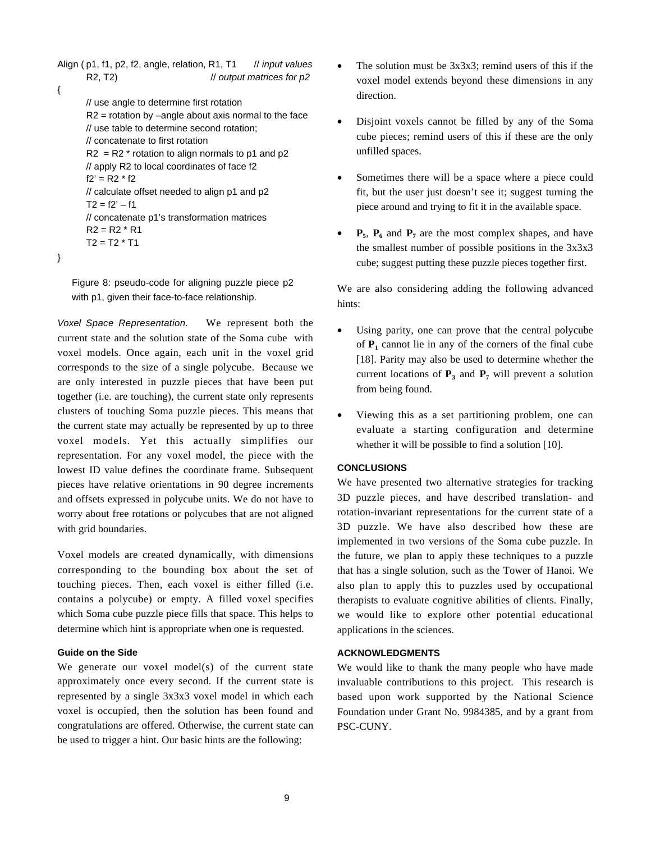```
Align ( p1, f1, p2, f2, angle, relation, R1, T1 // input values
      R2, T2) \frac{1}{2} output matrices for p2
{
      // use angle to determine first rotation
       R2 = rotation by –angle about axis normal to the face
      // use table to determine second rotation;
      // concatenate to first rotation
       R2 = R2 * rotation to align normals to p1 and p2
      // apply R2 to local coordinates of face f2
      f2' = R2 * f2// calculate offset needed to align p1 and p2
      T2 = f2' - f1// concatenate p1's transformation matrices
       R2 = R2 * R1T2 = T2 * T1
```
}

Figure 8: pseudo-code for aligning puzzle piece p2 with p1, given their face-to-face relationship.

*Voxel Space Representation.* We represent both the current state and the solution state of the Soma cube with voxel models. Once again, each unit in the voxel grid corresponds to the size of a single polycube. Because we are only interested in puzzle pieces that have been put together (i.e. are touching), the current state only represents clusters of touching Soma puzzle pieces. This means that the current state may actually be represented by up to three voxel models. Yet this actually simplifies our representation. For any voxel model, the piece with the lowest ID value defines the coordinate frame. Subsequent pieces have relative orientations in 90 degree increments and offsets expressed in polycube units. We do not have to worry about free rotations or polycubes that are not aligned with grid boundaries.

Voxel models are created dynamically, with dimensions corresponding to the bounding box about the set of touching pieces. Then, each voxel is either filled (i.e. contains a polycube) or empty. A filled voxel specifies which Soma cube puzzle piece fills that space. This helps to determine which hint is appropriate when one is requested.

### **Guide on the Side**

We generate our voxel model(s) of the current state approximately once every second. If the current state is represented by a single 3x3x3 voxel model in which each voxel is occupied, then the solution has been found and congratulations are offered. Otherwise, the current state can be used to trigger a hint. Our basic hints are the following:

- The solution must be  $3x3x3$ ; remind users of this if the voxel model extends beyond these dimensions in any direction.
- Disjoint voxels cannot be filled by any of the Soma cube pieces; remind users of this if these are the only unfilled spaces.
- Sometimes there will be a space where a piece could fit, but the user just doesn't see it; suggest turning the piece around and trying to fit it in the available space.
- $P_5$ ,  $P_6$  and  $P_7$  are the most complex shapes, and have the smallest number of possible positions in the 3x3x3 cube; suggest putting these puzzle pieces together first.

We are also considering adding the following advanced hints:

- Using parity, one can prove that the central polycube of  $P_1$  cannot lie in any of the corners of the final cube [18]. Parity may also be used to determine whether the current locations of  $P_3$  and  $P_7$  will prevent a solution from being found.
- Viewing this as a set partitioning problem, one can evaluate a starting configuration and determine whether it will be possible to find a solution [10].

#### **CONCLUSIONS**

We have presented two alternative strategies for tracking 3D puzzle pieces, and have described translation- and rotation-invariant representations for the current state of a 3D puzzle. We have also described how these are implemented in two versions of the Soma cube puzzle. In the future, we plan to apply these techniques to a puzzle that has a single solution, such as the Tower of Hanoi. We also plan to apply this to puzzles used by occupational therapists to evaluate cognitive abilities of clients. Finally, we would like to explore other potential educational applications in the sciences.

# **ACKNOWLEDGMENTS**

We would like to thank the many people who have made invaluable contributions to this project. This research is based upon work supported by the National Science Foundation under Grant No. 9984385, and by a grant from PSC-CUNY.